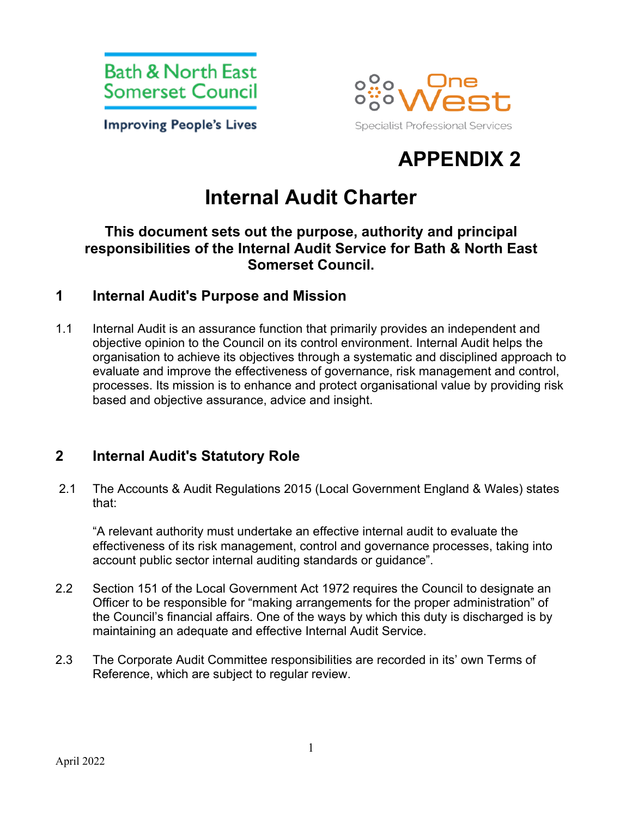

**Improving People's Lives** 



# **APPENDIX 2**

# **Internal Audit Charter**

#### **This document sets out the purpose, authority and principal responsibilities of the Internal Audit Service for Bath & North East Somerset Council.**

#### **1 Internal Audit's Purpose and Mission**

1.1 Internal Audit is an assurance function that primarily provides an independent and objective opinion to the Council on its control environment. Internal Audit helps the organisation to achieve its objectives through a systematic and disciplined approach to evaluate and improve the effectiveness of governance, risk management and control, processes. Its mission is to enhance and protect organisational value by providing risk based and objective assurance, advice and insight.

## **2 Internal Audit's Statutory Role**

2.1 The Accounts & Audit Regulations 2015 (Local Government England & Wales) states that:

"A relevant authority must undertake an effective internal audit to evaluate the effectiveness of its risk management, control and governance processes, taking into account public sector internal auditing standards or guidance".

- 2.2 Section 151 of the Local Government Act 1972 requires the Council to designate an Officer to be responsible for "making arrangements for the proper administration" of the Council's financial affairs. One of the ways by which this duty is discharged is by maintaining an adequate and effective Internal Audit Service.
- 2.3 The Corporate Audit Committee responsibilities are recorded in its' own Terms of Reference, which are subject to regular review.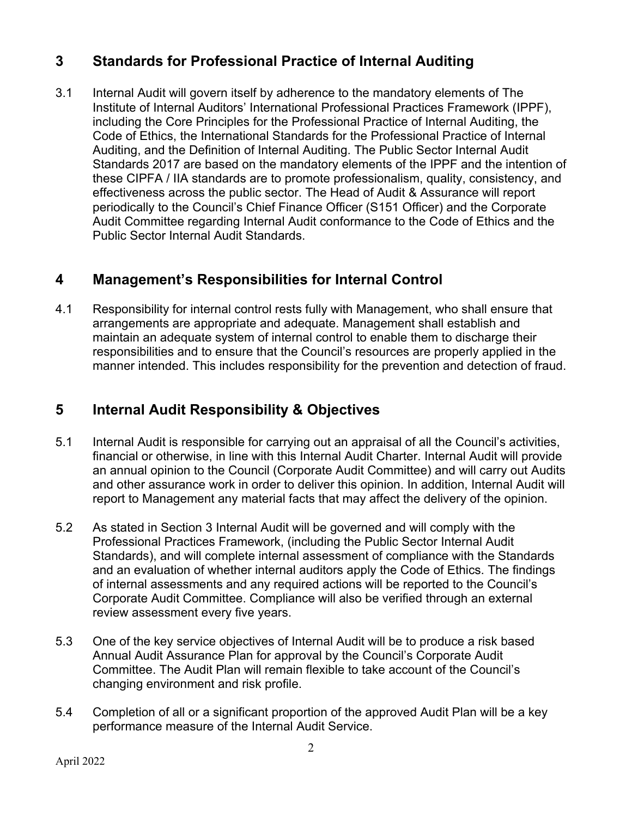## **3 Standards for Professional Practice of Internal Auditing**

3.1 Internal Audit will govern itself by adherence to the mandatory elements of The Institute of Internal Auditors' International Professional Practices Framework (IPPF), including the Core Principles for the Professional Practice of Internal Auditing, the Code of Ethics, the International Standards for the Professional Practice of Internal Auditing, and the Definition of Internal Auditing. The Public Sector Internal Audit Standards 2017 are based on the mandatory elements of the IPPF and the intention of these CIPFA / IIA standards are to promote professionalism, quality, consistency, and effectiveness across the public sector. The Head of Audit & Assurance will report periodically to the Council's Chief Finance Officer (S151 Officer) and the Corporate Audit Committee regarding Internal Audit conformance to the Code of Ethics and the Public Sector Internal Audit Standards.

## **4 Management's Responsibilities for Internal Control**

4.1 Responsibility for internal control rests fully with Management, who shall ensure that arrangements are appropriate and adequate. Management shall establish and maintain an adequate system of internal control to enable them to discharge their responsibilities and to ensure that the Council's resources are properly applied in the manner intended. This includes responsibility for the prevention and detection of fraud.

## **5 Internal Audit Responsibility & Objectives**

- 5.1 Internal Audit is responsible for carrying out an appraisal of all the Council's activities, financial or otherwise, in line with this Internal Audit Charter. Internal Audit will provide an annual opinion to the Council (Corporate Audit Committee) and will carry out Audits and other assurance work in order to deliver this opinion. In addition, Internal Audit will report to Management any material facts that may affect the delivery of the opinion.
- 5.2 As stated in Section 3 Internal Audit will be governed and will comply with the Professional Practices Framework, (including the Public Sector Internal Audit Standards), and will complete internal assessment of compliance with the Standards and an evaluation of whether internal auditors apply the Code of Ethics. The findings of internal assessments and any required actions will be reported to the Council's Corporate Audit Committee. Compliance will also be verified through an external review assessment every five years.
- 5.3 One of the key service objectives of Internal Audit will be to produce a risk based Annual Audit Assurance Plan for approval by the Council's Corporate Audit Committee. The Audit Plan will remain flexible to take account of the Council's changing environment and risk profile.
- 5.4 Completion of all or a significant proportion of the approved Audit Plan will be a key performance measure of the Internal Audit Service.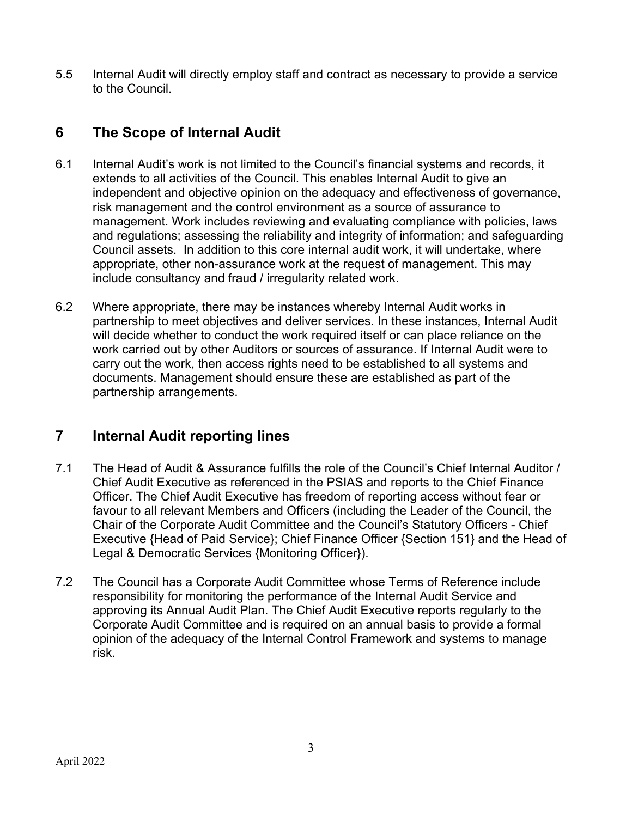5.5 Internal Audit will directly employ staff and contract as necessary to provide a service to the Council.

## **6 The Scope of Internal Audit**

- 6.1 Internal Audit's work is not limited to the Council's financial systems and records, it extends to all activities of the Council. This enables Internal Audit to give an independent and objective opinion on the adequacy and effectiveness of governance, risk management and the control environment as a source of assurance to management. Work includes reviewing and evaluating compliance with policies, laws and regulations; assessing the reliability and integrity of information; and safeguarding Council assets. In addition to this core internal audit work, it will undertake, where appropriate, other non-assurance work at the request of management. This may include consultancy and fraud / irregularity related work.
- 6.2 Where appropriate, there may be instances whereby Internal Audit works in partnership to meet objectives and deliver services. In these instances, Internal Audit will decide whether to conduct the work required itself or can place reliance on the work carried out by other Auditors or sources of assurance. If Internal Audit were to carry out the work, then access rights need to be established to all systems and documents. Management should ensure these are established as part of the partnership arrangements.

## **7 Internal Audit reporting lines**

- 7.1 The Head of Audit & Assurance fulfills the role of the Council's Chief Internal Auditor / Chief Audit Executive as referenced in the PSIAS and reports to the Chief Finance Officer. The Chief Audit Executive has freedom of reporting access without fear or favour to all relevant Members and Officers (including the Leader of the Council, the Chair of the Corporate Audit Committee and the Council's Statutory Officers - Chief Executive {Head of Paid Service}; Chief Finance Officer {Section 151} and the Head of Legal & Democratic Services {Monitoring Officer}).
- 7.2 The Council has a Corporate Audit Committee whose Terms of Reference include responsibility for monitoring the performance of the Internal Audit Service and approving its Annual Audit Plan. The Chief Audit Executive reports regularly to the Corporate Audit Committee and is required on an annual basis to provide a formal opinion of the adequacy of the Internal Control Framework and systems to manage risk.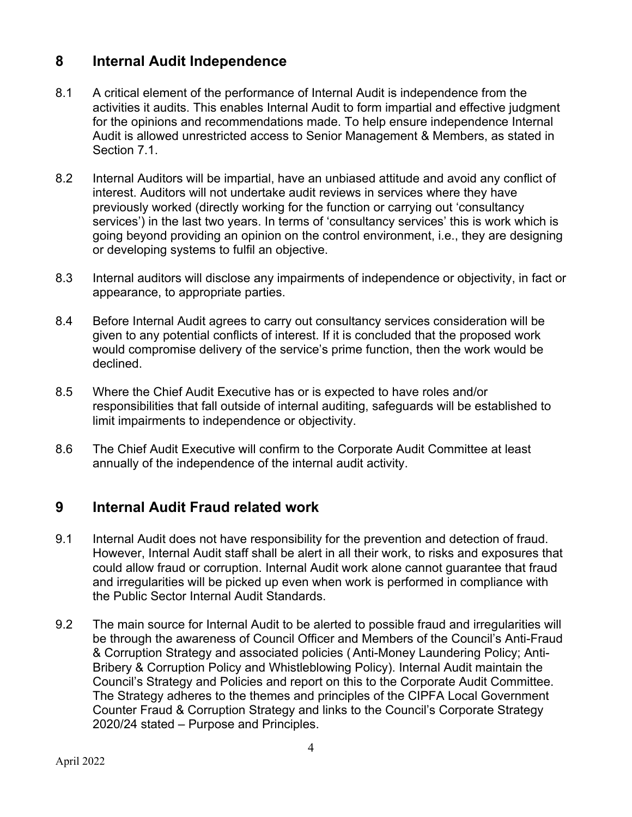## **8 Internal Audit Independence**

- 8.1 A critical element of the performance of Internal Audit is independence from the activities it audits. This enables Internal Audit to form impartial and effective judgment for the opinions and recommendations made. To help ensure independence Internal Audit is allowed unrestricted access to Senior Management & Members, as stated in Section 7.1.
- 8.2 Internal Auditors will be impartial, have an unbiased attitude and avoid any conflict of interest. Auditors will not undertake audit reviews in services where they have previously worked (directly working for the function or carrying out 'consultancy services') in the last two years. In terms of 'consultancy services' this is work which is going beyond providing an opinion on the control environment, i.e., they are designing or developing systems to fulfil an objective.
- 8.3 Internal auditors will disclose any impairments of independence or objectivity, in fact or appearance, to appropriate parties.
- 8.4 Before Internal Audit agrees to carry out consultancy services consideration will be given to any potential conflicts of interest. If it is concluded that the proposed work would compromise delivery of the service's prime function, then the work would be declined.
- 8.5 Where the Chief Audit Executive has or is expected to have roles and/or responsibilities that fall outside of internal auditing, safeguards will be established to limit impairments to independence or objectivity.
- 8.6 The Chief Audit Executive will confirm to the Corporate Audit Committee at least annually of the independence of the internal audit activity.

## **9 Internal Audit Fraud related work**

- 9.1 Internal Audit does not have responsibility for the prevention and detection of fraud. However, Internal Audit staff shall be alert in all their work, to risks and exposures that could allow fraud or corruption. Internal Audit work alone cannot guarantee that fraud and irregularities will be picked up even when work is performed in compliance with the Public Sector Internal Audit Standards.
- 9.2 The main source for Internal Audit to be alerted to possible fraud and irregularities will be through the awareness of Council Officer and Members of the Council's Anti-Fraud & Corruption Strategy and associated policies (Anti-Money Laundering Policy; Anti-Bribery & Corruption Policy and Whistleblowing Policy). Internal Audit maintain the Council's Strategy and Policies and report on this to the Corporate Audit Committee. The Strategy adheres to the themes and principles of the CIPFA Local Government Counter Fraud & Corruption Strategy and links to the Council's Corporate Strategy 2020/24 stated – Purpose and Principles.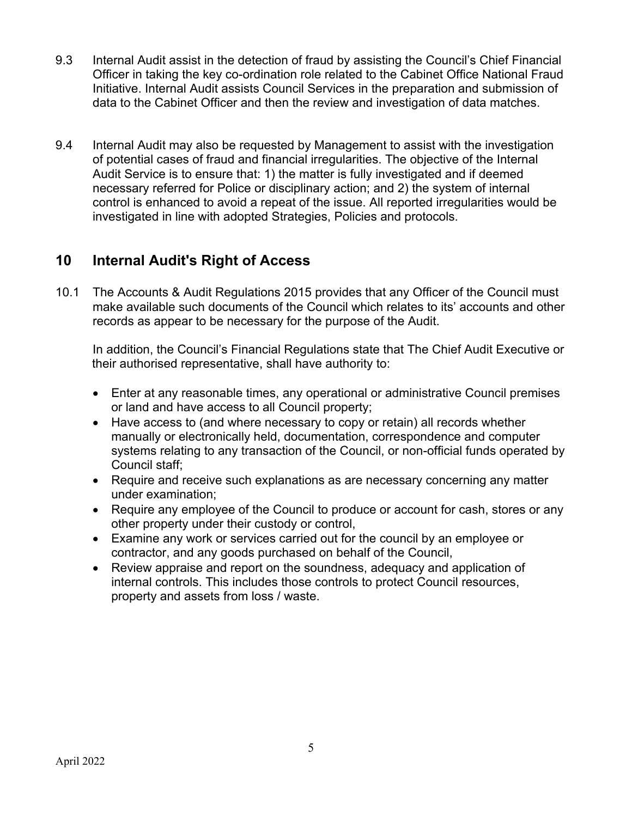- 9.3 Internal Audit assist in the detection of fraud by assisting the Council's Chief Financial Officer in taking the key co-ordination role related to the Cabinet Office National Fraud Initiative. Internal Audit assists Council Services in the preparation and submission of data to the Cabinet Officer and then the review and investigation of data matches.
- 9.4 Internal Audit may also be requested by Management to assist with the investigation of potential cases of fraud and financial irregularities. The objective of the Internal Audit Service is to ensure that: 1) the matter is fully investigated and if deemed necessary referred for Police or disciplinary action; and 2) the system of internal control is enhanced to avoid a repeat of the issue. All reported irregularities would be investigated in line with adopted Strategies, Policies and protocols.

## **10 Internal Audit's Right of Access**

10.1 The Accounts & Audit Regulations 2015 provides that any Officer of the Council must make available such documents of the Council which relates to its' accounts and other records as appear to be necessary for the purpose of the Audit.

In addition, the Council's Financial Regulations state that The Chief Audit Executive or their authorised representative, shall have authority to:

- Enter at any reasonable times, any operational or administrative Council premises or land and have access to all Council property;
- Have access to (and where necessary to copy or retain) all records whether manually or electronically held, documentation, correspondence and computer systems relating to any transaction of the Council, or non-official funds operated by Council staff;
- Require and receive such explanations as are necessary concerning any matter under examination;
- Require any employee of the Council to produce or account for cash, stores or any other property under their custody or control,
- Examine any work or services carried out for the council by an employee or contractor, and any goods purchased on behalf of the Council,
- Review appraise and report on the soundness, adequacy and application of internal controls. This includes those controls to protect Council resources, property and assets from loss / waste.